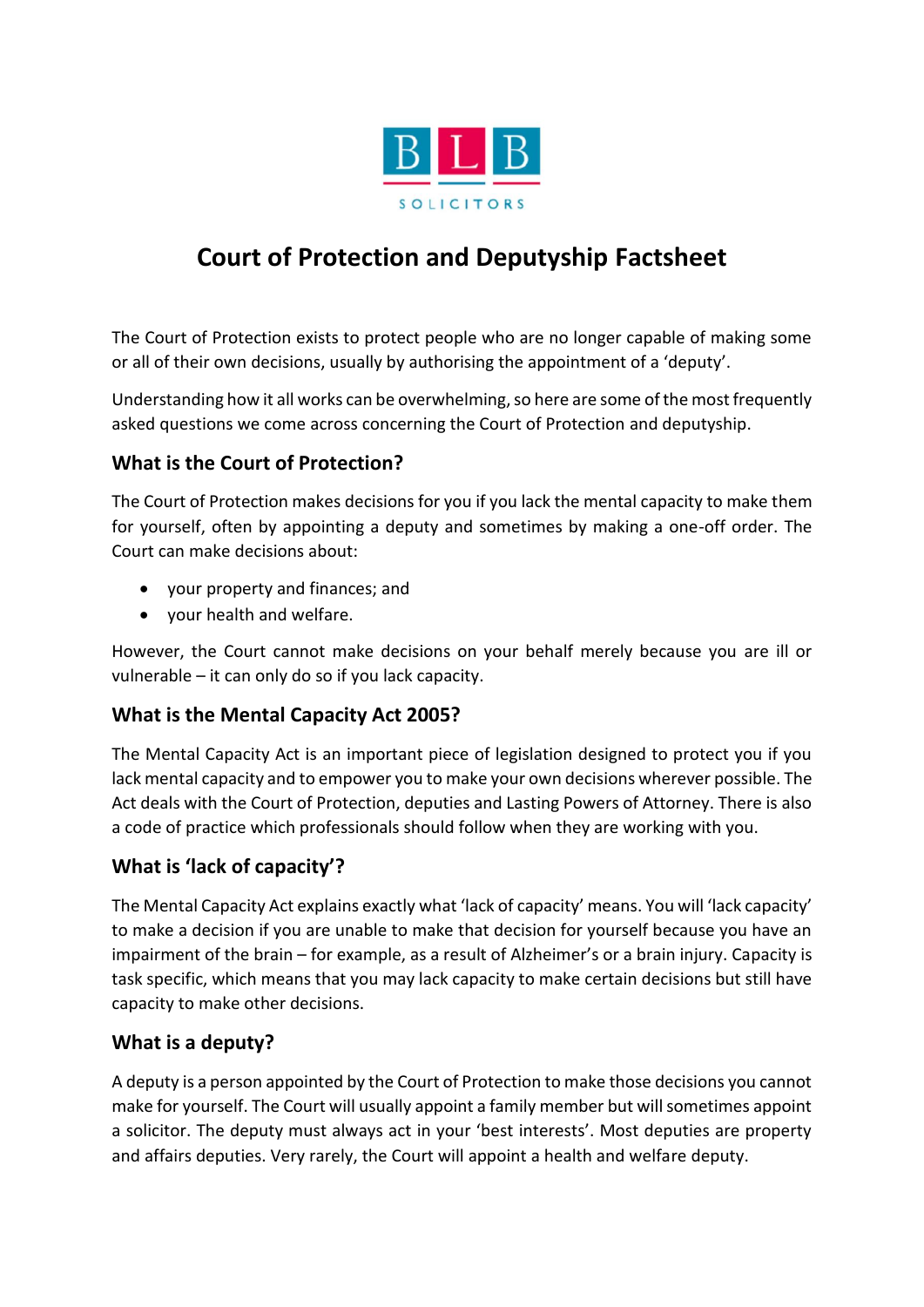

# **Court of Protection and Deputyship Factsheet**

The Court of Protection exists to protect people who are no longer capable of making some or all of their own decisions, usually by authorising the appointment of a 'deputy'.

Understanding how it all works can be overwhelming, so here are some of the most frequently asked questions we come across concerning the Court of Protection and deputyship.

#### **What is the Court of Protection?**

The Court of Protection makes decisions for you if you lack the mental capacity to make them for yourself, often by appointing a deputy and sometimes by making a one-off order. The Court can make decisions about:

- your property and finances; and
- your health and welfare.

However, the Court cannot make decisions on your behalf merely because you are ill or vulnerable – it can only do so if you lack capacity.

#### **What is the Mental Capacity Act 2005?**

The Mental Capacity Act is an important piece of legislation designed to protect you if you lack mental capacity and to empower you to make your own decisions wherever possible. The Act deals with the Court of Protection, deputies and Lasting Powers of Attorney. There is also a code of practice which professionals should follow when they are working with you.

## **What is 'lack of capacity'?**

The Mental Capacity Act explains exactly what 'lack of capacity' means. You will 'lack capacity' to make a decision if you are unable to make that decision for yourself because you have an impairment of the brain – for example, as a result of Alzheimer's or a brain injury. Capacity is task specific, which means that you may lack capacity to make certain decisions but still have capacity to make other decisions.

#### **What is a deputy?**

A deputy is a person appointed by the Court of Protection to make those decisions you cannot make for yourself. The Court will usually appoint a family member but will sometimes appoint a solicitor. The deputy must always act in your 'best interests'. Most deputies are property and affairs deputies. Very rarely, the Court will appoint a health and welfare deputy.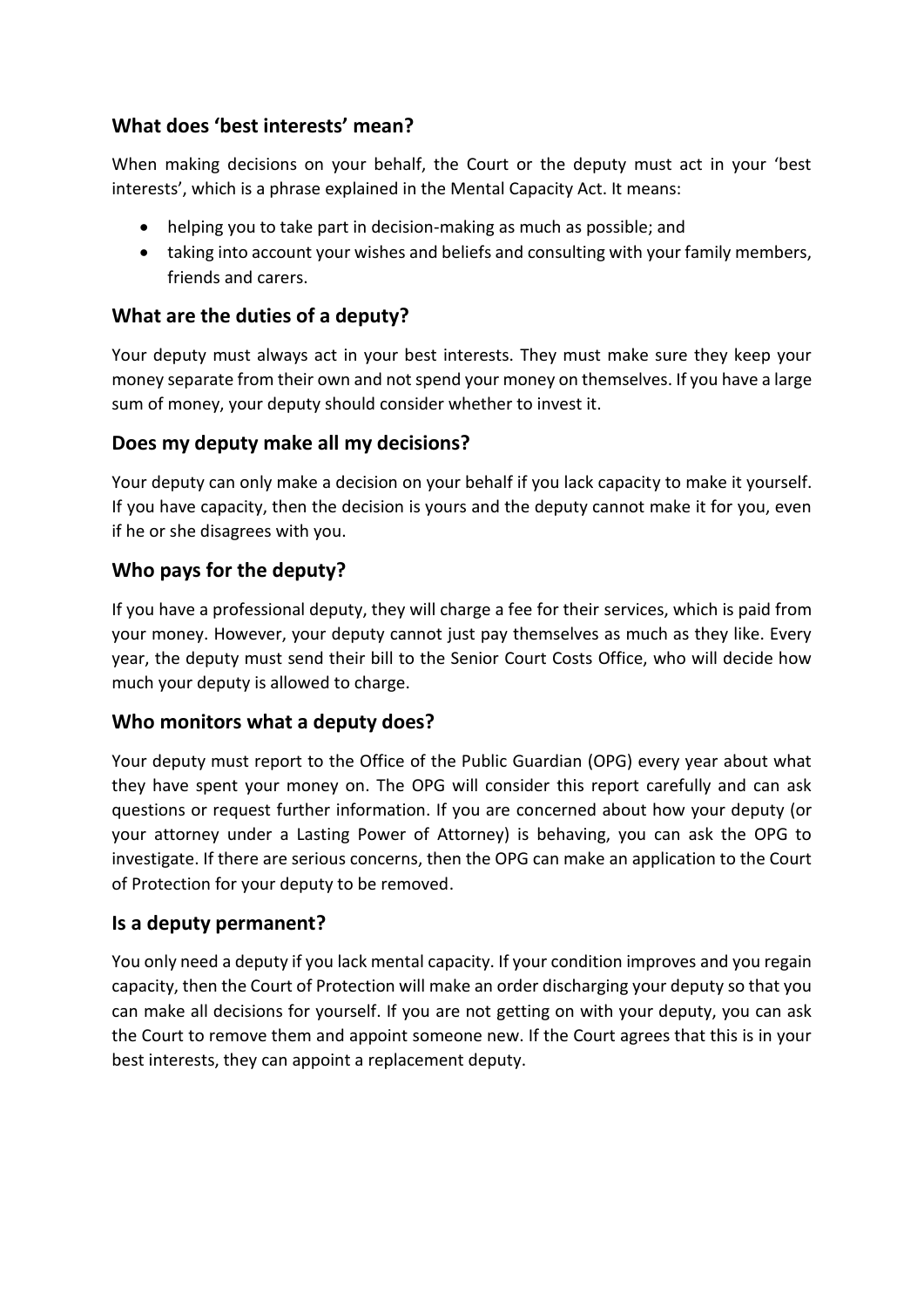#### **What does 'best interests' mean?**

When making decisions on your behalf, the Court or the deputy must act in your 'best interests', which is a phrase explained in the Mental Capacity Act. It means:

- helping you to take part in decision-making as much as possible; and
- taking into account your wishes and beliefs and consulting with your family members, friends and carers.

#### **What are the duties of a deputy?**

Your deputy must always act in your best interests. They must make sure they keep your money separate from their own and not spend your money on themselves. If you have a large sum of money, your deputy should consider whether to invest it.

#### **Does my deputy make all my decisions?**

Your deputy can only make a decision on your behalf if you lack capacity to make it yourself. If you have capacity, then the decision is yours and the deputy cannot make it for you, even if he or she disagrees with you.

### **Who pays for the deputy?**

If you have a professional deputy, they will charge a fee for their services, which is paid from your money. However, your deputy cannot just pay themselves as much as they like. Every year, the deputy must send their bill to the Senior Court Costs Office, who will decide how much your deputy is allowed to charge.

#### **Who monitors what a deputy does?**

Your deputy must report to the Office of the Public Guardian (OPG) every year about what they have spent your money on. The OPG will consider this report carefully and can ask questions or request further information. If you are concerned about how your deputy (or your attorney under a Lasting Power of Attorney) is behaving, you can ask the OPG to investigate. If there are serious concerns, then the OPG can make an application to the Court of Protection for your deputy to be removed.

#### **Is a deputy permanent?**

You only need a deputy if you lack mental capacity. If your condition improves and you regain capacity, then the Court of Protection will make an order discharging your deputy so that you can make all decisions for yourself. If you are not getting on with your deputy, you can ask the Court to remove them and appoint someone new. If the Court agrees that this is in your best interests, they can appoint a replacement deputy.